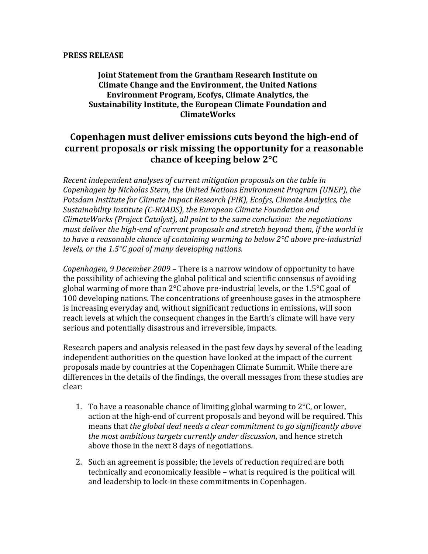### **PRESS
RELEASE**

### **Joint
Statement
from
the
Grantham
Research
Institute
on Climate
Change
and
the
Environment,
the
United
Nations Environment
Program,
Ecofys,
Climate
Analytics,
the**  Sustainability Institute, the European Climate Foundation and **ClimateWorks**

# Copenhagen must deliver emissions cuts beyond the high-end of current proposals or risk missing the opportunity for a reasonable **chance
of
keeping
below
2°C**

Recent independent analyses of current mitigation proposals on the table in Copenhagen by Nicholas Stern, the United Nations Environment Program (UNEP), the Potsdam Institute for Climate Impact Research (PIK), Ecofys, Climate Analytics, the Sustainability Institute (C-ROADS), the European Climate Foundation and *ClimateWorks
(Project
Catalyst),
all
point
to
the
same
conclusion:

the
negotiations*  must deliver the high-end of current proposals and stretch beyond them, if the world is to have a reasonable chance of containing warming to below 2°C above pre-industrial *levels,
or
the
1.5°C
goal
of
many
developing
nations.*

Copenhagen, 9 December 2009 – There is a narrow window of opportunity to have the possibility of achieving the global political and scientific consensus of avoiding global warming of more than 2°C above pre-industrial levels, or the 1.5°C goal of 100
developing
nations.
The
concentrations
of
greenhouse
gases
in
the
atmosphere is
increasing
everyday
and,
without
significant
reductions
in
emissions,
will
soon reach
levels
at
which
the
consequent
changes
in
the
Earth's
climate
will
have
very serious
and
potentially
disastrous
and
irreversible,
impacts.

Research papers and analysis released in the past few days by several of the leading independent authorities on the question have looked at the impact of the current proposals
made
by
countries
at
the
Copenhagen
Climate
Summit.
While
there
are differences in the details of the findings, the overall messages from these studies are clear:

- 1. To have a reasonable chance of limiting global warming to  $2^{\circ}$ C, or lower, action at the high-end of current proposals and beyond will be required. This means
that *the global
deal
needs
a
clear
commitment
to
go significantly
above the
most
ambitious
targets
currently
under
discussion*,
and
hence
stretch above
those
in
the
next
8
days
of
negotiations.
- 2. Such
an
agreement
is
possible;
the
levels
of
reduction
required
are
both technically
and
economically
feasible
–
what
is
required
is
the
political
will and
leadership
to
lock‐in
these
commitments
in
Copenhagen.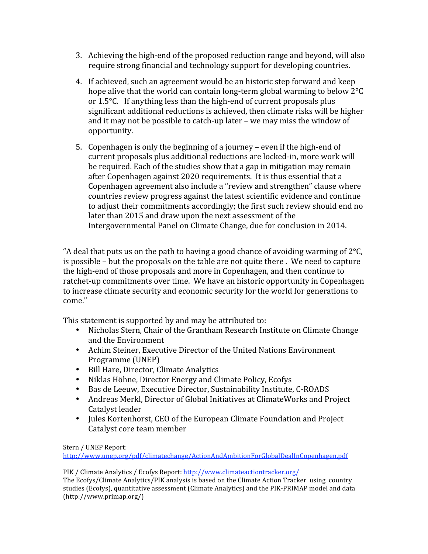- 3. Achieving the high-end of the proposed reduction range and beyond, will also require
strong
financial
and
technology
support
for
developing
countries.
- 4. If
achieved,
such
an
agreement
would
be
an
historic
step
forward
and
keep hope alive that the world can contain long-term global warming to below 2°C or 1.5 °C. If anything less than the high-end of current proposals plus significant
additional
reductions
is
achieved,
then
climate
risks
will
be
higher and
it
may
not
be
possible
to
catch‐up
later
–
we
may
miss
the
window
of opportunity.
- 5. Copenhagen
is
only
the
beginning
of
a
journey
–
even
if
the
high‐end
of current
proposals
plus
additional
reductions
are
locked‐in,
more
work
will be required. Each of the studies show that a gap in mitigation may remain after Copenhagen against 2020 requirements. It is thus essential that a Copenhagen agreement also include a "review and strengthen" clause where countries
review
progress
against
the
latest
scientific
evidence
and
continue to
adjust
their
commitments
accordingly;
the
first
such
review
should
end
no later than 2015 and draw upon the next assessment of the Intergovernmental
Panel
on
Climate
Change,
due
for
conclusion
in
2014.

"A deal that puts us on the path to having a good chance of avoiding warming of  $2^{\circ}$ C, is possible – but the proposals on the table are not quite there. We need to capture the high-end of those proposals and more in Copenhagen, and then continue to ratchet-up commitments over time. We have an historic opportunity in Copenhagen to
increase
climate
security
and
economic
security
for
the
world
for
generations
to come."

This statement is supported by and may be attributed to:

- Nicholas Stern, Chair of the Grantham Research Institute on Climate Change and
the
Environment
- Achim
Steiner,
Executive
Director
of
the
United
Nations
Environment Programme
(UNEP)
- Bill
Hare,
Director,
Climate
Analytics
- Niklas
Höhne,
Director
Energy
and
Climate
Policy,
Ecofys
- Bas de Leeuw, Executive Director, Sustainability Institute, C-ROADS
- Andreas Merkl, Director of Global Initiatives at ClimateWorks and Project Catalyst
leader
- Jules Kortenhorst, CEO of the European Climate Foundation and Project Catalyst
core
team
member

Stern
/
UNEP
Report:

http://www.unep.org/pdf/climatechange/ActionAndAmbitionForGlobalDealInCopenhagen.pdf

PIK
/
Climate
Analytics
/
Ecofys
Report:
http://www.climateactiontracker.org/ The Ecofys/Climate Analytics/PIK analysis is based on the Climate Action Tracker using country studies (Ecofys), quantitative assessment (Climate Analytics) and the PIK-PRIMAP model and data (http://www.primap.org/)